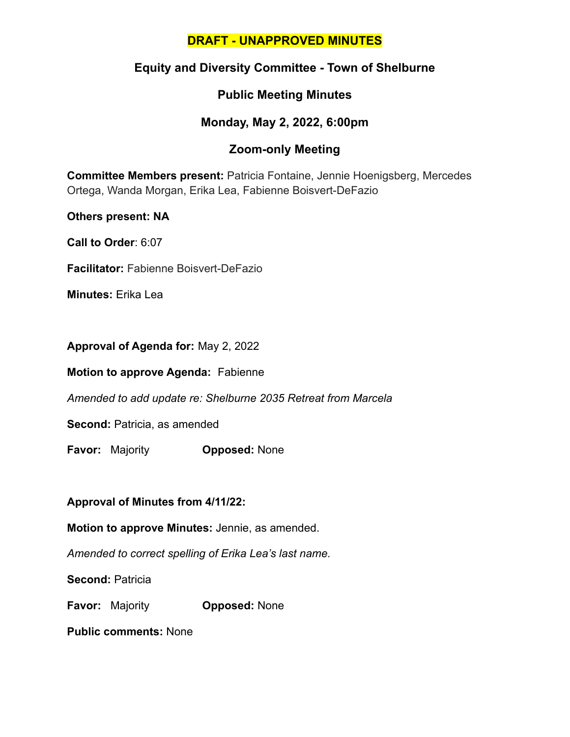### **DRAFT - UNAPPROVED MINUTES**

### **Equity and Diversity Committee - Town of Shelburne**

### **Public Meeting Minutes**

### **Monday, May 2, 2022, 6:00pm**

## **Zoom-only Meeting**

**Committee Members present:** Patricia Fontaine, Jennie Hoenigsberg, Mercedes Ortega, Wanda Morgan, Erika Lea, Fabienne Boisvert-DeFazio

**Others present: NA**

**Call to Order**: 6:07

**Facilitator:** Fabienne Boisvert-DeFazio

**Minutes:** Erika Lea

**Approval of Agenda for:** May 2, 2022

**Motion to approve Agenda:** Fabienne

*Amended to add update re: Shelburne 2035 Retreat from Marcela*

**Second:** Patricia, as amended

**Favor:** Majority **Opposed:** None

**Approval of Minutes from 4/11/22:**

**Motion to approve Minutes:** Jennie, as amended.

*Amended to correct spelling of Erika Lea's last name.*

**Second:** Patricia

**Favor:** Majority **Opposed:** None

**Public comments:** None